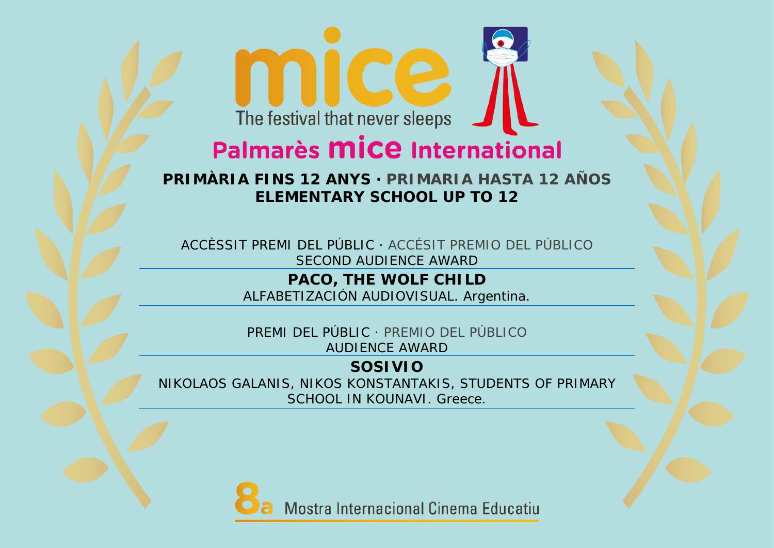## Palmarès **MICE** International

**PRIMÀRIA FINS 12 ANYS · PRIMARIA HASTA 12 AÑOS** *ELEMENTARY SCHOOL UP TO 12* 

ACCÈSSIT PREMI DEL PÚBLIC · ACCÉSIT PREMIO DEL PÚBLICO *SECOND AUDIENCE AWARD* 

> **PACO, THE WOLF CHILD**  ALFABETIZACIÓN AUDIOVISUAL. Argentina.

PREMI DEL PÚBLIC · PREMIO DEL PÚBLICO *AUDIENCE AWARD*

**SOSIVIO** NIKOLAOS GALANIS, NIKOS KONSTANTAKIS, STUDENTS OF PRIMARY SCHOOL IN KOUNAVI. Greece.

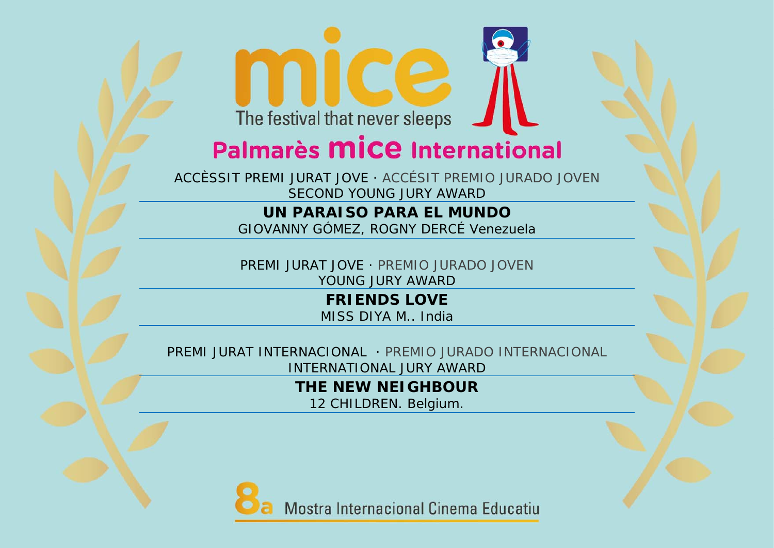## Palmarès **MICE** International

ACCÈSSIT PREMI JURAT JOVE · ACCÉSIT PREMIO JURADO JOVEN *SECOND YOUNG JURY AWARD*

#### **UN PARAISO PARA EL MUNDO**GIOVANNY GÓMEZ, ROGNY DERCÉ Venezuela

PREMI JURAT JOVE · PREMIO JURADO JOVEN *YOUNG JURY AWARD*

> **FRIENDS LOVE** MISS DIYA M.. India

PREMI JURAT INTERNACIONAL · PREMIO JURADO INTERNACIONAL*INTERNATIONAL JURY AWARD*

**THE NEW NEIGHBOUR**

12 CHILDREN. Belgium.



Mostra Internacional Cinema Educatiu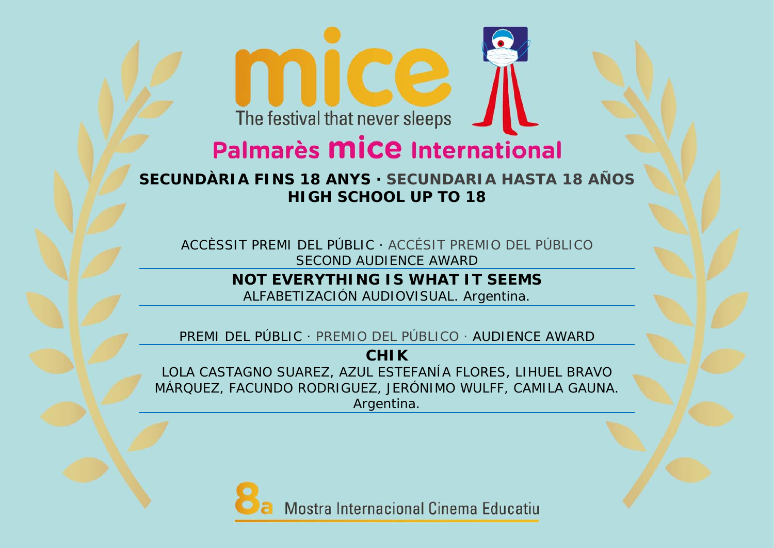## Palmarès **MICE** International

**SECUNDÀRIA FINS 18 ANYS · SECUNDARIA HASTA 18 AÑOS** *HIGH SCHOOL UP TO 18*

ACCÈSSIT PREMI DEL PÚBLIC · ACCÉSIT PREMIO DEL PÚBLICO *SECOND AUDIENCE AWARD* 

> **NOT EVERYTHING IS WHAT IT SEEMS** ALFABETIZACIÓN AUDIOVISUAL. Argentina.

PREMI DEL PÚBLIC · PREMIO DEL PÚBLICO · *AUDIENCE AWARD*

**CHIK** 

LOLA CASTAGNO SUAREZ, AZUL ESTEFANÍA FLORES, LIHUEL BRAVO MÁRQUEZ, FACUNDO RODRIGUEZ, JERÓNIMO WULFF, CAMILA GAUNA. Argentina.

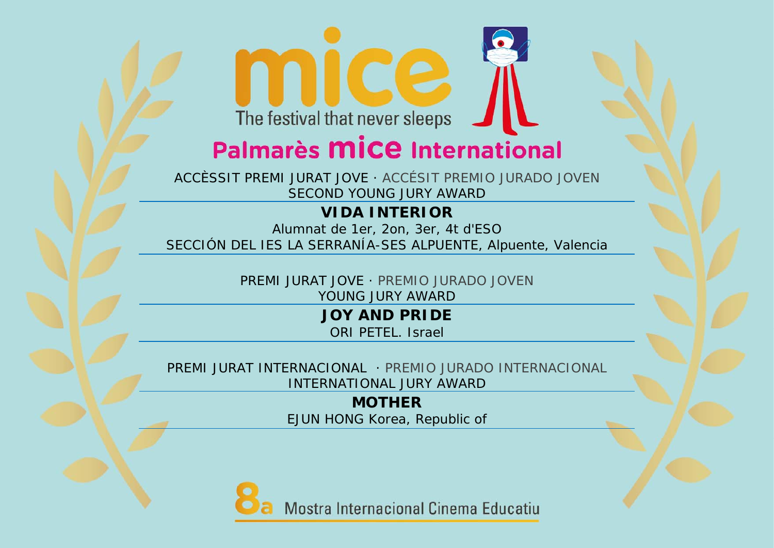## Palmarès **MICE** International

ACCÈSSIT PREMI JURAT JOVE · ACCÉSIT PREMIO JURADO JOVEN *SECOND YOUNG JURY AWARD*

#### **VIDA INTERIOR**

Alumnat de 1er, 2on, 3er, 4t d'ESO SECCIÓN DEL IES LA SERRANÍA-SES ALPUENTE, Alpuente, Valencia

> PREMI JURAT JOVE · PREMIO JURADO JOVEN *YOUNG JURY AWARD*

> > **JOY AND PRIDE**

ORI PETEL. Israel

PREMI JURAT INTERNACIONAL · PREMIO JURADO INTERNACIONAL*INTERNATIONAL JURY AWARD*

> **MOTHER** EJUN HONG Korea, Republic of



Mostra Internacional Cinema Educatiu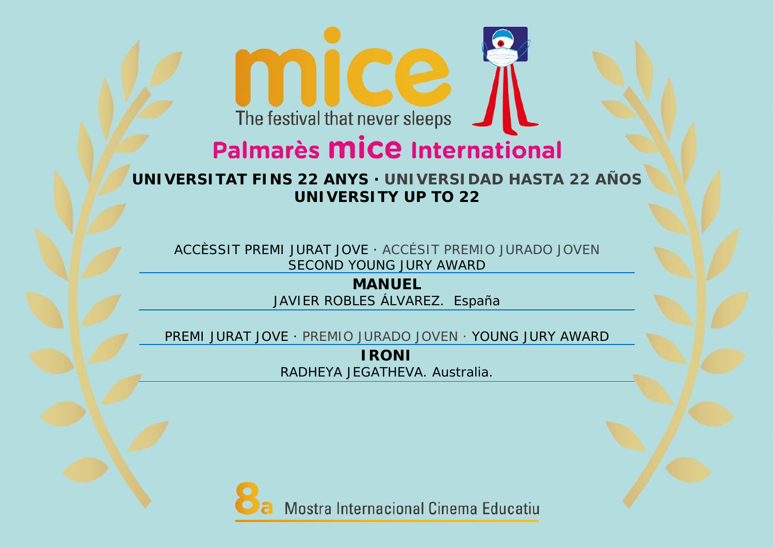### Palmarès **MICE** International

**UNIVERSITAT FINS 22 ANYS · UNIVERSIDAD HASTA 22 AÑOS** *UNIVERSITY UP TO 22*

ACCÈSSIT PREMI JURAT JOVE · ACCÉSIT PREMIO JURADO JOVEN *SECOND YOUNG JURY AWARD*

> **MANUEL** JAVIER ROBLES ÁLVAREZ. España

PREMI JURAT JOVE · PREMIO JURADO JOVEN · *YOUNG JURY AWARD*

**IRONI** RADHEYA JEGATHEVA. Australia.

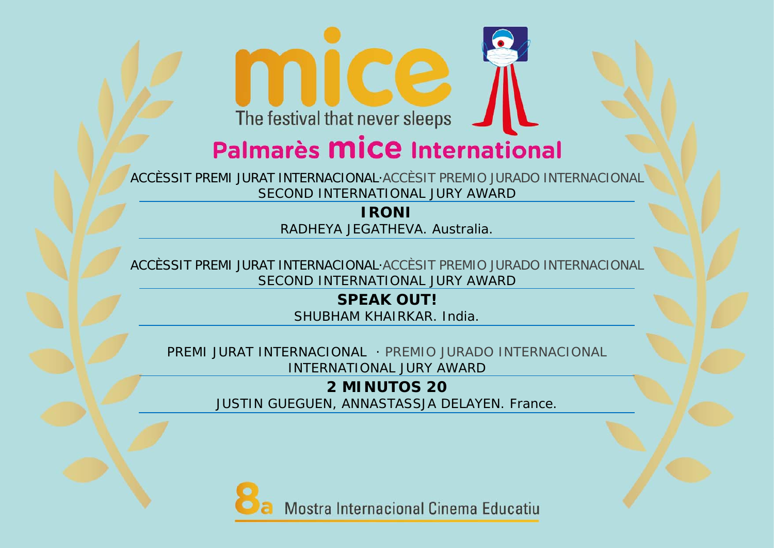## Palmarès **MICE** International

ACCÈSSIT PREMI JURAT INTERNACIONAL·ACCÈSIT PREMIO JURADO INTERNACIONAL *SECOND INTERNATIONAL JURY AWARD*

#### **IRONI** RADHEYA JEGATHEVA. Australia.

ACCÈSSIT PREMI JURAT INTERNACIONAL·ACCÈSIT PREMIO JURADO INTERNACIONAL *SECOND INTERNATIONAL JURY AWARD*

> **SPEAK OUT!** SHUBHAM KHAIRKAR. India.

PREMI JURAT INTERNACIONAL · PREMIO JURADO INTERNACIONAL*INTERNATIONAL JURY AWARD*

> **2 MINUTOS 20**  JUSTIN GUEGUEN, ANNASTASSJA DELAYEN. France.

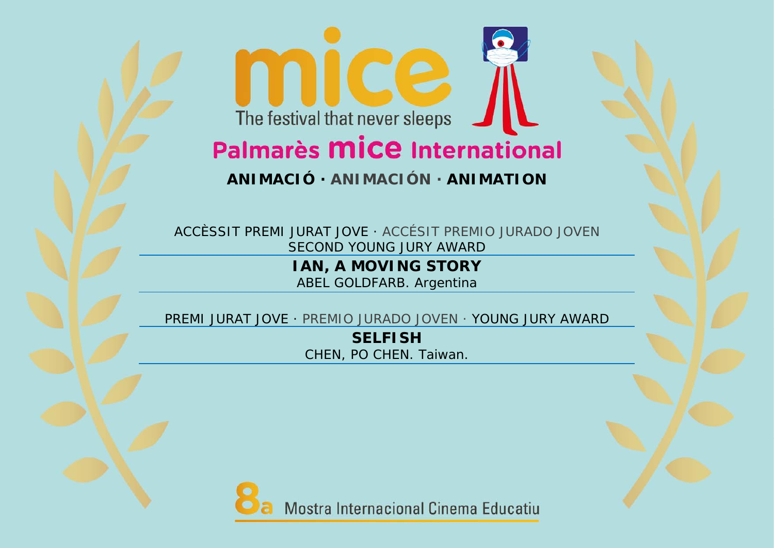### The festival that never sleeps Palmarès **MICE** International

#### **ANIMACIÓ · ANIMACIÓN ·** *ANIMATION*

ACCÈSSIT PREMI JURAT JOVE · ACCÉSIT PREMIO JURADO JOVEN *SECOND YOUNG JURY AWARD*

> **IAN, A MOVING STORY**  ABEL GOLDFARB. Argentina

PREMI JURAT JOVE · PREMIO JURADO JOVEN · *YOUNG JURY AWARD*

**SELFISH** CHEN, PO CHEN. Taiwan.

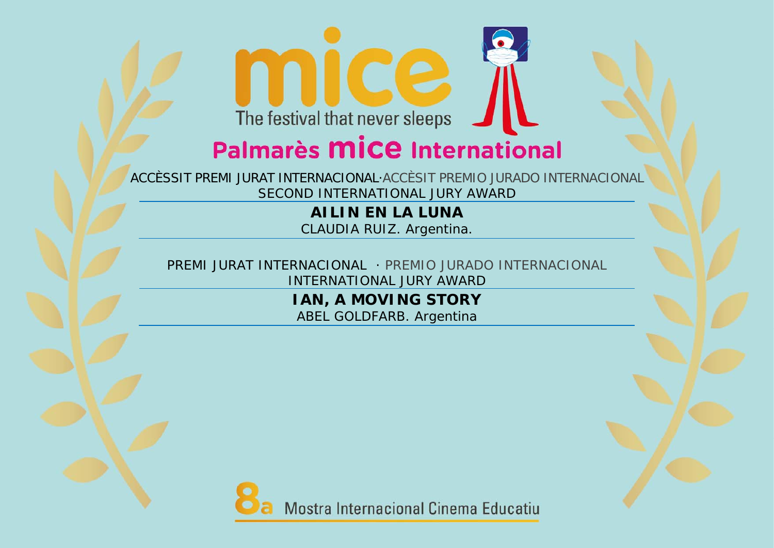## Palmarès **MICE** International

ACCÈSSIT PREMI JURAT INTERNACIONAL·ACCÈSIT PREMIO JURADO INTERNACIONAL *SECOND INTERNATIONAL JURY AWARD*

> **AILIN EN LA LUNA** CLAUDIA RUIZ. Argentina.

PREMI JURAT INTERNACIONAL · PREMIO JURADO INTERNACIONAL*INTERNATIONAL JURY AWARD*

> **IAN, A MOVING STORY**  ABEL GOLDFARB. Argentina

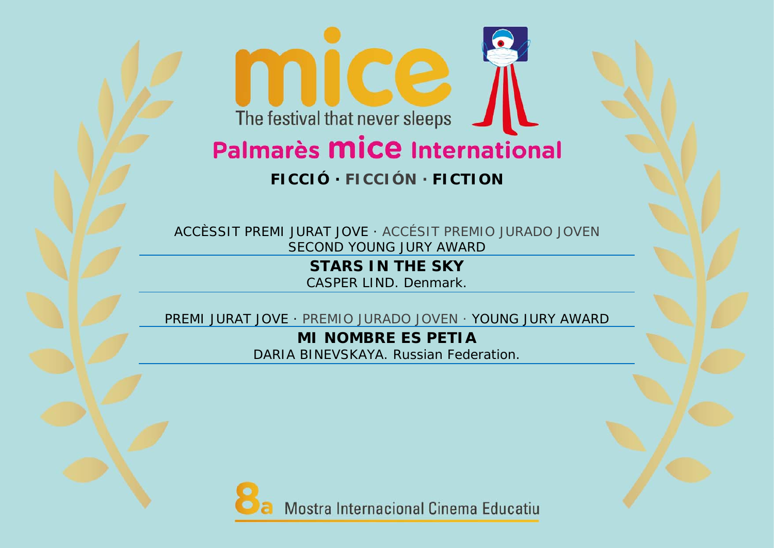# Palmarès **mice** International

#### **FICCIÓ · FICCIÓN ·** *FICTION*

ACCÈSSIT PREMI JURAT JOVE · ACCÉSIT PREMIO JURADO JOVEN *SECOND YOUNG JURY AWARD*

> **STARS IN THE SKY** CASPER LIND. Denmark.

PREMI JURAT JOVE · PREMIO JURADO JOVEN · *YOUNG JURY AWARD*

**MI NOMBRE ES PETIA**DARIA BINEVSKAYA. Russian Federation.